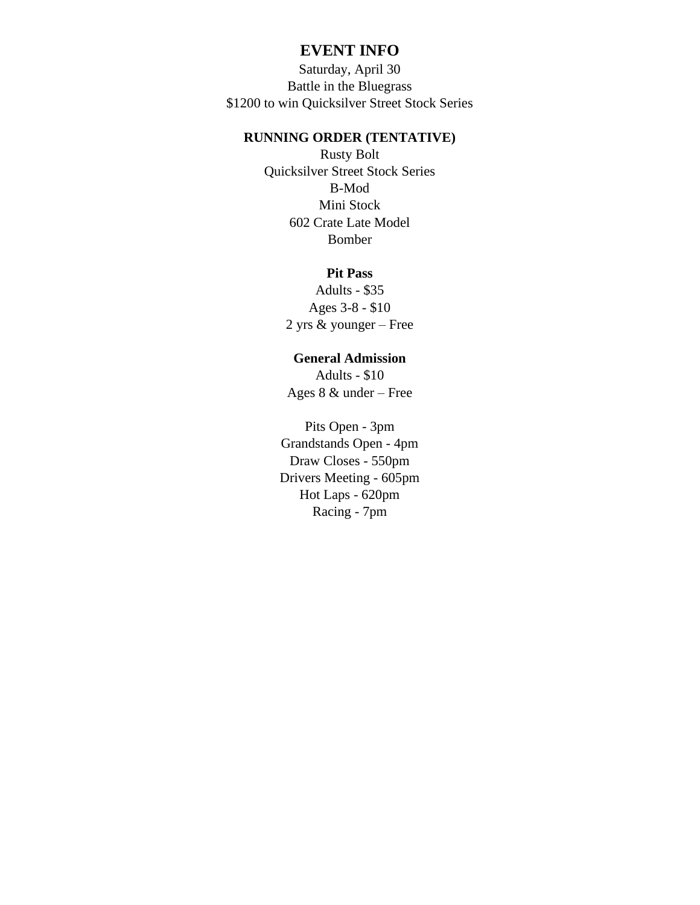## **EVENT INFO**

Saturday, April 30 Battle in the Bluegrass \$1200 to win Quicksilver Street Stock Series

## **RUNNING ORDER (TENTATIVE)**

Rusty Bolt Quicksilver Street Stock Series B-Mod Mini Stock 602 Crate Late Model Bomber

## **Pit Pass**

Adults - \$35 Ages 3-8 - \$10 2 yrs & younger – Free

## **General Admission**

Adults - \$10 Ages 8 & under – Free

Pits Open - 3pm Grandstands Open - 4pm Draw Closes - 550pm Drivers Meeting - 605pm Hot Laps - 620pm Racing - 7pm